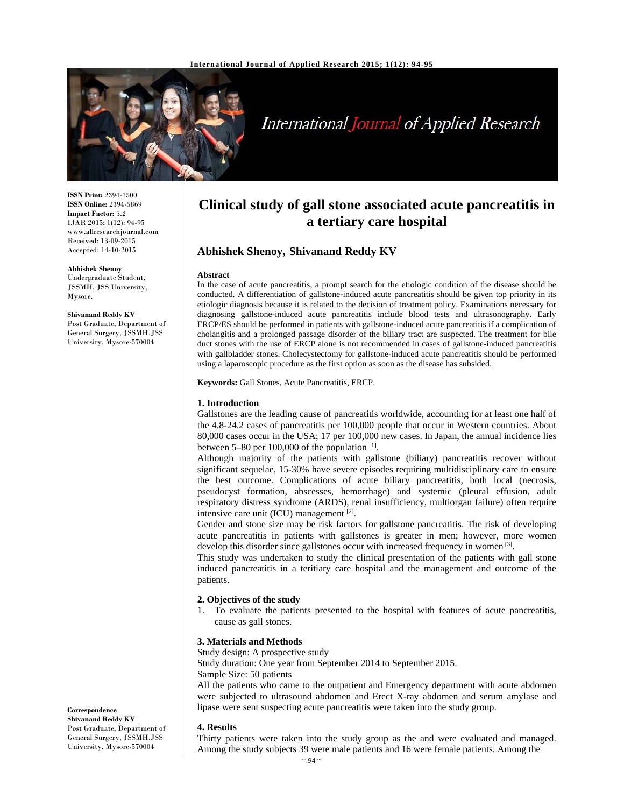

# International Journal of Applied Research

**ISSN Print:** 2394-7500 **ISSN Online:** 2394-5869 **Impact Factor:** 5.2 IJAR 2015; 1(12): 94-95 www.allresearchjournal.com Received: 13-09-2015 Accepted: 14-10-2015

**Abhishek Shenoy**  Undergraduate Student, JSSMH, JSS University, Mysore.

**Shivanand Reddy KV**  Post Graduate, Department of General Surgery, JSSMH.JSS University, Mysore-570004

# **Clinical study of gall stone associated acute pancreatitis in a tertiary care hospital**

# **Abhishek Shenoy, Shivanand Reddy KV**

#### **Abstract**

In the case of acute pancreatitis, a prompt search for the etiologic condition of the disease should be conducted. A differentiation of gallstone-induced acute pancreatitis should be given top priority in its etiologic diagnosis because it is related to the decision of treatment policy. Examinations necessary for diagnosing gallstone-induced acute pancreatitis include blood tests and ultrasonography. Early ERCP/ES should be performed in patients with gallstone-induced acute pancreatitis if a complication of cholangitis and a prolonged passage disorder of the biliary tract are suspected. The treatment for bile duct stones with the use of ERCP alone is not recommended in cases of gallstone-induced pancreatitis with gallbladder stones. Cholecystectomy for gallstone-induced acute pancreatitis should be performed using a laparoscopic procedure as the first option as soon as the disease has subsided.

**Keywords:** Gall Stones, Acute Pancreatitis, ERCP.

#### **1. Introduction**

Gallstones are the leading cause of pancreatitis worldwide, accounting for at least one half of the 4.8-24.2 cases of pancreatitis per 100,000 people that occur in Western countries. About 80,000 cases occur in the USA; 17 per 100,000 new cases. In Japan, the annual incidence lies between 5–80 per 100,000 of the population [1].

Although majority of the patients with gallstone (biliary) pancreatitis recover without significant sequelae, 15-30% have severe episodes requiring multidisciplinary care to ensure the best outcome. Complications of acute biliary pancreatitis, both local (necrosis, pseudocyst formation, abscesses, hemorrhage) and systemic (pleural effusion, adult respiratory distress syndrome (ARDS), renal insufficiency, multiorgan failure) often require intensive care unit (ICU) management [2].

Gender and stone size may be risk factors for gallstone pancreatitis. The risk of developing acute pancreatitis in patients with gallstones is greater in men; however, more women develop this disorder since gallstones occur with increased frequency in women [3].

This study was undertaken to study the clinical presentation of the patients with gall stone induced pancreatitis in a teritiary care hospital and the management and outcome of the patients.

#### **2. Objectives of the study**

1. To evaluate the patients presented to the hospital with features of acute pancreatitis, cause as gall stones.

# **3. Materials and Methods**

Study design: A prospective study

Study duration: One year from September 2014 to September 2015.

Sample Size: 50 patients

All the patients who came to the outpatient and Emergency department with acute abdomen were subjected to ultrasound abdomen and Erect X-ray abdomen and serum amylase and lipase were sent suspecting acute pancreatitis were taken into the study group.

#### **4. Results**

Thirty patients were taken into the study group as the and were evaluated and managed. Among the study subjects 39 were male patients and 16 were female patients. Among the

Post Graduate, Department of General Surgery, JSSMH.JSS University, Mysore-570004